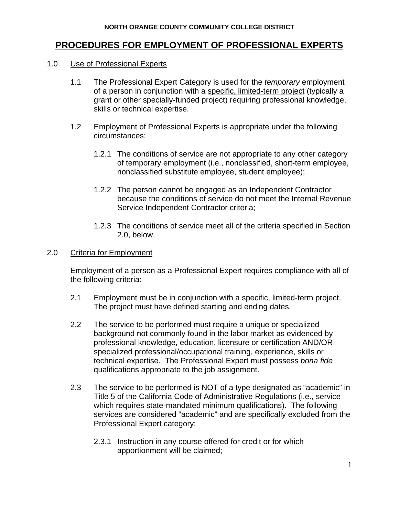# **PROCEDURES FOR EMPLOYMENT OF PROFESSIONAL EXPERTS**

### 1.0 Use of Professional Experts

- 1.1 The Professional Expert Category is used for the *temporary* employment of a person in conjunction with a specific, limited-term project (typically a grant or other specially-funded project) requiring professional knowledge, skills or technical expertise.
- 1.2 Employment of Professional Experts is appropriate under the following circumstances:
	- 1.2.1 The conditions of service are not appropriate to any other category of temporary employment (i.e., nonclassified, short-term employee, nonclassified substitute employee, student employee);
	- 1.2.2 The person cannot be engaged as an Independent Contractor because the conditions of service do not meet the Internal Revenue Service Independent Contractor criteria;
	- 1.2.3 The conditions of service meet all of the criteria specified in Section 2.0, below.

# 2.0 Criteria for Employment

Employment of a person as a Professional Expert requires compliance with all of the following criteria:

- 2.1 Employment must be in conjunction with a specific, limited-term project. The project must have defined starting and ending dates.
- 2.2 The service to be performed must require a unique or specialized background not commonly found in the labor market as evidenced by professional knowledge, education, licensure or certification AND/OR specialized professional/occupational training, experience, skills or technical expertise. The Professional Expert must possess *bona fide* qualifications appropriate to the job assignment.
- 2.3 The service to be performed is NOT of a type designated as "academic" in Title 5 of the California Code of Administrative Regulations (i.e., service which requires state-mandated minimum qualifications). The following services are considered "academic" and are specifically excluded from the Professional Expert category:
	- 2.3.1 Instruction in any course offered for credit or for which apportionment will be claimed;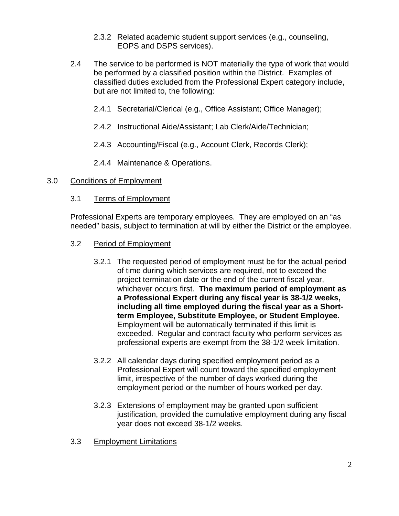- 2.3.2 Related academic student support services (e.g., counseling, EOPS and DSPS services).
- 2.4 The service to be performed is NOT materially the type of work that would be performed by a classified position within the District. Examples of classified duties excluded from the Professional Expert category include, but are not limited to, the following:
	- 2.4.1 Secretarial/Clerical (e.g., Office Assistant; Office Manager);
	- 2.4.2 Instructional Aide/Assistant; Lab Clerk/Aide/Technician;
	- 2.4.3 Accounting/Fiscal (e.g., Account Clerk, Records Clerk);
	- 2.4.4 Maintenance & Operations.

## 3.0 Conditions of Employment

## 3.1 Terms of Employment

Professional Experts are temporary employees. They are employed on an "as needed" basis, subject to termination at will by either the District or the employee.

- 3.2 Period of Employment
	- 3.2.1 The requested period of employment must be for the actual period of time during which services are required, not to exceed the project termination date or the end of the current fiscal year, whichever occurs first. **The maximum period of employment as a Professional Expert during any fiscal year is 38-1/2 weeks, including all time employed during the fiscal year as a Shortterm Employee, Substitute Employee, or Student Employee.** Employment will be automatically terminated if this limit is exceeded. Regular and contract faculty who perform services as professional experts are exempt from the 38-1/2 week limitation.
	- 3.2.2 All calendar days during specified employment period as a Professional Expert will count toward the specified employment limit, irrespective of the number of days worked during the employment period or the number of hours worked per day.
	- 3.2.3 Extensions of employment may be granted upon sufficient justification, provided the cumulative employment during any fiscal year does not exceed 38-1/2 weeks.
- 3.3 Employment Limitations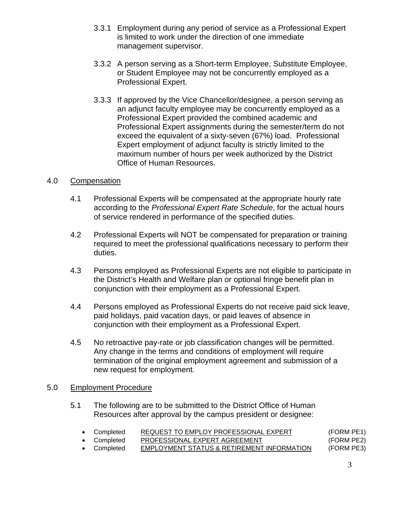- 3.3.1 Employment during any period of service as a Professional Expert is limited to work under the direction of one immediate management supervisor.
- 3.3.2 A person serving as a Short-term Employee, Substitute Employee, or Student Employee may not be concurrently employed as a Professional Expert.
- 3.3.3 If approved by the Vice Chancellor/designee, a person serving as an adjunct faculty employee may be concurrently employed as a Professional Expert provided the combined academic and Professional Expert assignments during the semester/term do not exceed the equivalent of a sixty-seven (67%) load. Professional Expert employment of adjunct faculty is strictly limited to the maximum number of hours per week authorized by the District Office of Human Resources.

# 4.0 Compensation

- 4.1 Professional Experts will be compensated at the appropriate hourly rate according to the *Professional Expert Rate Schedule*, for the actual hours of service rendered in performance of the specified duties.
- 4.2 Professional Experts will NOT be compensated for preparation or training required to meet the professional qualifications necessary to perform their duties.
- 4.3 Persons employed as Professional Experts are not eligible to participate in the District's Health and Welfare plan or optional fringe benefit plan in conjunction with their employment as a Professional Expert.
- 4.4 Persons employed as Professional Experts do not receive paid sick leave, paid holidays, paid vacation days, or paid leaves of absence in conjunction with their employment as a Professional Expert.
- 4.5 No retroactive pay-rate or job classification changes will be permitted. Any change in the terms and conditions of employment will require termination of the original employment agreement and submission of a new request for employment.

## 5.0 Employment Procedure

5.1 The following are to be submitted to the District Office of Human Resources after approval by the campus president or designee:

| • Completed | REQUEST TO EMPLOY PROFESSIONAL EXPERT      | (FORM PE1) |
|-------------|--------------------------------------------|------------|
| • Completed | PROFESSIONAL EXPERT AGREEMENT              | (FORM PE2) |
| • Completed | EMPLOYMENT STATUS & RETIREMENT INFORMATION | (FORM PE3) |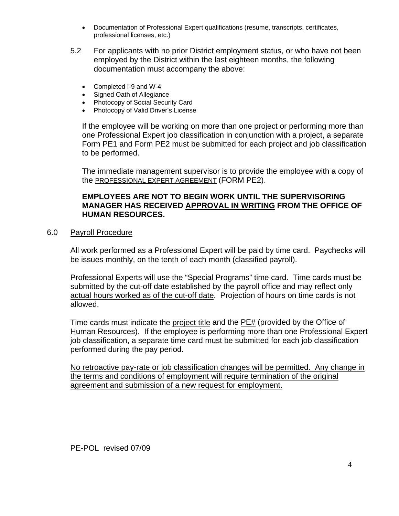- Documentation of Professional Expert qualifications (resume, transcripts, certificates, professional licenses, etc.)
- 5.2 For applicants with no prior District employment status, or who have not been employed by the District within the last eighteen months, the following documentation must accompany the above:
	- Completed I-9 and W-4
	- Signed Oath of Allegiance
	- Photocopy of Social Security Card
	- Photocopy of Valid Driver's License

If the employee will be working on more than one project or performing more than one Professional Expert job classification in conjunction with a project, a separate Form PE1 and Form PE2 must be submitted for each project and job classification to be performed.

The immediate management supervisor is to provide the employee with a copy of the PROFESSIONAL EXPERT AGREEMENT (FORM PE2).

## **EMPLOYEES ARE NOT TO BEGIN WORK UNTIL THE SUPERVISORING MANAGER HAS RECEIVED APPROVAL IN WRITING FROM THE OFFICE OF HUMAN RESOURCES.**

## 6.0 Payroll Procedure

All work performed as a Professional Expert will be paid by time card. Paychecks will be issues monthly, on the tenth of each month (classified payroll).

Professional Experts will use the "Special Programs" time card. Time cards must be submitted by the cut-off date established by the payroll office and may reflect only actual hours worked as of the cut-off date. Projection of hours on time cards is not allowed.

Time cards must indicate the project title and the PE# (provided by the Office of Human Resources). If the employee is performing more than one Professional Expert job classification, a separate time card must be submitted for each job classification performed during the pay period.

No retroactive pay-rate or job classification changes will be permitted. Any change in the terms and conditions of employment will require termination of the original agreement and submission of a new request for employment.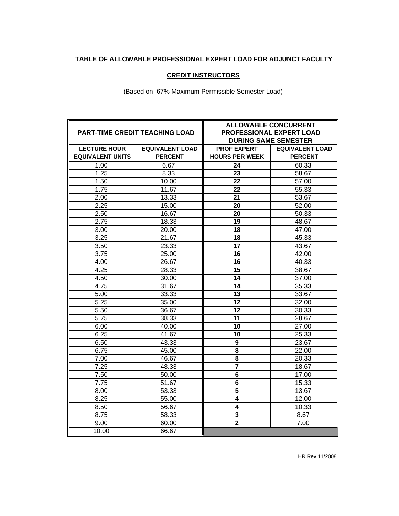#### **TABLE OF ALLOWABLE PROFESSIONAL EXPERT LOAD FOR ADJUNCT FACULTY**

#### **CREDIT INSTRUCTORS**

(Based on 67% Maximum Permissible Semester Load)

|                         | <b>PART-TIME CREDIT TEACHING LOAD</b> | <b>ALLOWABLE CONCURRENT</b><br>PROFESSIONAL EXPERT LOAD<br><b>DURING SAME SEMESTER</b> |                        |
|-------------------------|---------------------------------------|----------------------------------------------------------------------------------------|------------------------|
| <b>LECTURE HOUR</b>     | <b>EQUIVALENT LOAD</b>                | <b>PROF EXPERT</b>                                                                     | <b>EQUIVALENT LOAD</b> |
| <b>EQUIVALENT UNITS</b> | <b>PERCENT</b>                        | <b>HOURS PER WEEK</b>                                                                  | <b>PERCENT</b>         |
| 1.00                    | 6.67                                  | $\overline{24}$                                                                        | 60.33                  |
| 1.25                    | 8.33                                  | 23                                                                                     | 58.67                  |
| 1.50                    | 10.00                                 | 22                                                                                     | 57.00                  |
| 1.75                    | 11.67                                 | 22                                                                                     | 55.33                  |
| 2.00                    | 13.33                                 | 21                                                                                     | 53.67                  |
| 2.25                    | 15.00                                 | 20                                                                                     | 52.00                  |
| 2.50                    | 16.67                                 | 20                                                                                     | 50.33                  |
| 2.75                    | 18.33                                 | $\overline{19}$                                                                        | 48.67                  |
| 3.00                    | 20.00                                 | $\overline{18}$                                                                        | 47.00                  |
| 3.25                    | $\overline{2}$ 1.67                   | $\overline{18}$                                                                        | 45.33                  |
| 3.50                    | 23.33                                 | $\overline{17}$                                                                        | 43.67                  |
| 3.75                    | 25.00                                 | 16                                                                                     | $\overline{42.00}$     |
| 4.00                    | 26.67                                 | 16                                                                                     | 40.33                  |
| 4.25                    | 28.33                                 | 15                                                                                     | 38.67                  |
| 4.50                    | 30.00                                 | 14                                                                                     | 37.00                  |
| 4.75                    | 31.67                                 | 14                                                                                     | 35.33                  |
| 5.00                    | 33.33                                 | 13                                                                                     | 33.67                  |
| 5.25                    | 35.00                                 | 12                                                                                     | 32.00                  |
| 5.50                    | 36.67                                 | $\overline{12}$                                                                        | 30.33                  |
| 5.75                    | 38.33                                 | 11                                                                                     | 28.67                  |
| 6.00                    | 40.00                                 | 10                                                                                     | 27.00                  |
| 6.25                    | 41.67                                 | 10                                                                                     | 25.33                  |
| 6.50                    | 43.33                                 | $\overline{9}$                                                                         | 23.67                  |
| 6.75                    | 45.00                                 | $\overline{\mathbf{8}}$                                                                | 22.00                  |
| 7.00                    | 46.67                                 | 8                                                                                      | 20.33                  |
| 7.25                    | 48.33                                 | $\overline{\mathbf{7}}$                                                                | 18.67                  |
| 7.50                    | 50.00                                 | 6                                                                                      | 17.00                  |
| 7.75                    | 51.67                                 | 6                                                                                      | 15.33                  |
| 8.00                    | 53.33                                 | $\overline{\mathbf{5}}$                                                                | 13.67                  |
| 8.25                    | 55.00                                 | $\overline{4}$                                                                         | 12.00                  |
| 8.50                    | 56.67                                 | $\overline{\mathbf{4}}$                                                                | 10.33                  |
| 8.75                    | 58.33                                 | $\overline{\mathbf{3}}$                                                                | 8.67                   |
| 9.00                    | 60.00                                 | $\overline{\mathbf{2}}$                                                                | 7.00                   |
| 10.00                   | 66.67                                 |                                                                                        |                        |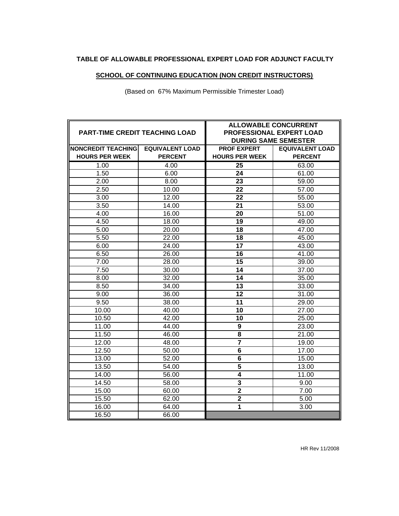#### **TABLE OF ALLOWABLE PROFESSIONAL EXPERT LOAD FOR ADJUNCT FACULTY**

# **SCHOOL OF CONTINUING EDUCATION (NON CREDIT INSTRUCTORS)**

(Based on 67% Maximum Permissible Trimester Load)

| <b>PART-TIME CREDIT TEACHING LOAD</b> |                        | <b>ALLOWABLE CONCURRENT</b><br>PROFESSIONAL EXPERT LOAD<br><b>DURING SAME SEMESTER</b> |                        |
|---------------------------------------|------------------------|----------------------------------------------------------------------------------------|------------------------|
| <b>NONCREDIT TEACHING</b>             | <b>EQUIVALENT LOAD</b> | <b>PROF EXPERT</b>                                                                     | <b>EQUIVALENT LOAD</b> |
| <b>HOURS PER WEEK</b>                 | <b>PERCENT</b>         | <b>HOURS PER WEEK</b>                                                                  | <b>PERCENT</b>         |
| 1.00                                  | 4.00                   | 25                                                                                     | 63.00                  |
| 1.50                                  | 6.00                   | 24                                                                                     | 61.00                  |
| 2.00                                  | 8.00                   | 23                                                                                     | 59.00                  |
| 2.50                                  | 10.00                  | 22                                                                                     | 57.00                  |
| 3.00                                  | 12.00                  | 22                                                                                     | 55.00                  |
| 3.50                                  | 14.00                  | 21                                                                                     | 53.00                  |
| 4.00                                  | 16.00                  | 20                                                                                     | 51.00                  |
| 4.50                                  | 18.00                  | 19                                                                                     | 49.00                  |
| 5.00                                  | 20.00                  | 18                                                                                     | 47.00                  |
| 5.50                                  | 22.00                  | 18                                                                                     | 45.00                  |
| 6.00                                  | 24.00                  | $\overline{17}$                                                                        | 43.00                  |
| 6.50                                  | 26.00                  | 16                                                                                     | 41.00                  |
| 7.00                                  | 28.00                  | 15                                                                                     | 39.00                  |
| 7.50                                  | 30.00                  | 14                                                                                     | 37.00                  |
| 8.00                                  | 32.00                  | 14                                                                                     | 35.00                  |
| 8.50                                  | 34.00                  | 13                                                                                     | 33.00                  |
| 9.00                                  | 36.00                  | 12                                                                                     | 31.00                  |
| 9.50                                  | 38.00                  | 11                                                                                     | 29.00                  |
| 10.00                                 | 40.00                  | 10                                                                                     | 27.00                  |
| 10.50                                 | 42.00                  | 10                                                                                     | 25.00                  |
| 11.00                                 | 44.00                  | 9                                                                                      | 23.00                  |
| 11.50                                 | 46.00                  | 8                                                                                      | 21.00                  |
| 12.00                                 | 48.00                  | $\overline{7}$                                                                         | 19.00                  |
| 12.50                                 | 50.00                  | 6                                                                                      | 17.00                  |
| 13.00                                 | 52.00                  | 6                                                                                      | 15.00                  |
| 13.50                                 | 54.00                  | 5                                                                                      | 13.00                  |
| 14.00                                 | 56.00                  | $\boldsymbol{4}$                                                                       | 11.00                  |
| 14.50                                 | 58.00                  | $\overline{\mathbf{3}}$                                                                | 9.00                   |
| 15.00                                 | 60.00                  | $\overline{\mathbf{2}}$                                                                | 7.00                   |
| 15.50                                 | 62.00                  | $\overline{2}$                                                                         | 5.00                   |
| 16.00                                 | 64.00                  | $\mathbf{1}$                                                                           | 3.00                   |
| 16.50                                 | 66.00                  |                                                                                        |                        |